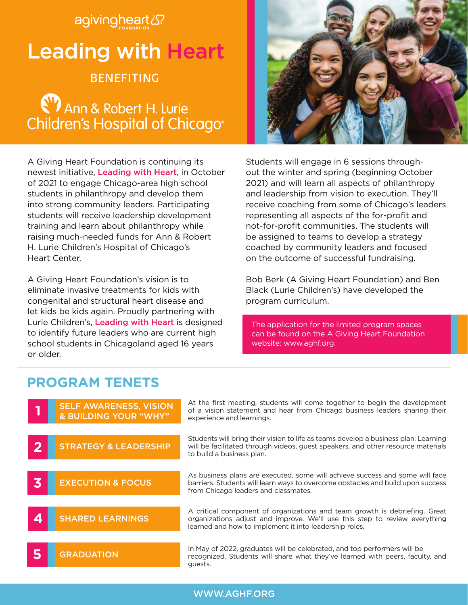# agivingheart &? Leading with Heart **BENEFITING**

**(V)** Ann & Robert H. Lurie Children's Hospital of Chicago®

A Giving Heart Foundation is continuing its newest initiative, Leading with Heart, in October of 2021 to engage Chicago-area high school students in philanthropy and develop them into strong community leaders. Participating students will receive leadership development training and learn about philanthropy while raising much-needed funds for Ann & Robert H. Lurie Children's Hospital of Chicago's Heart Center.

A Giving Heart Foundation's vision is to eliminate invasive treatments for kids with congenital and structural heart disease and let kids be kids again. Proudly partnering with Lurie Children's, Leading with Heart is designed to identify future leaders who are current high school students in Chicagoland aged 16 years or older.

Students will engage in 6 sessions throughout the winter and spring (beginning October 2021) and will learn all aspects of philanthropy and leadership from vision to execution. They'll receive coaching from some of Chicago's leaders representing all aspects of the for-profit and not-for-profit communities. The students will be assigned to teams to develop a strategy coached by community leaders and focused on the outcome of successful fundraising.

Bob Berk (A Giving Heart Foundation) and Ben Black (Lurie Children's) have developed the program curriculum.

The application for the limited program spaces can be found on the A Giving Heart Foundation website: www.aghf.org.

# **PROGRAM TENETS**

|                         | <b>SELF AWARENESS, VISION</b><br><b>&amp; BUILDING YOUR "WHY"</b> | At the first meeting, students will come together to begin the development<br>of a vision statement and hear from Chicago business leaders sharing their<br>experience and learnings.                              |
|-------------------------|-------------------------------------------------------------------|--------------------------------------------------------------------------------------------------------------------------------------------------------------------------------------------------------------------|
| $\mathbf{2}$            | <b>STRATEGY &amp; LEADERSHIP</b>                                  | Students will bring their vision to life as teams develop a business plan. Learning<br>will be facilitated through videos, quest speakers, and other resource materials<br>to build a business plan.               |
| $\overline{\mathbf{3}}$ | <b>EXECUTION &amp; FOCUS</b>                                      | As business plans are executed, some will achieve success and some will face<br>barriers. Students will learn ways to overcome obstacles and build upon success<br>from Chicago leaders and classmates.            |
| 4                       | <b>SHARED LEARNINGS</b>                                           | A critical component of organizations and team growth is debriefing. Great<br>organizations adjust and improve. We'll use this step to review everything<br>learned and how to implement it into leadership roles. |
|                         | <b>GRADUATION</b>                                                 | In May of 2022, graduates will be celebrated, and top performers will be<br>recognized. Students will share what they've learned with peers, faculty, and<br>quests.                                               |

### WWW.AGHF.ORG